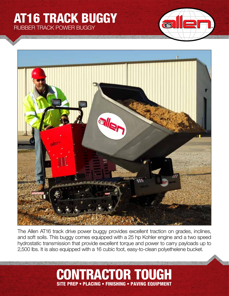## AT16 TRACK BUGGY RUBBER TRACK POWER BUGGY





The Allen AT16 track drive power buggy provides excellent traction on grades, inclines, and soft soils. This buggy comes equipped with a 25 hp Kohler engine and a two speed hydrostatic transmission that provide excellent torque and power to carry payloads up to 2,500 lbs. It is also equipped with a 16 cubic foot, easy-to-clean polyethelene bucket.

## CONTRACTOR TOUGH SITE PREP • PLACING • FINISHING • PAVING EQUIPMENT